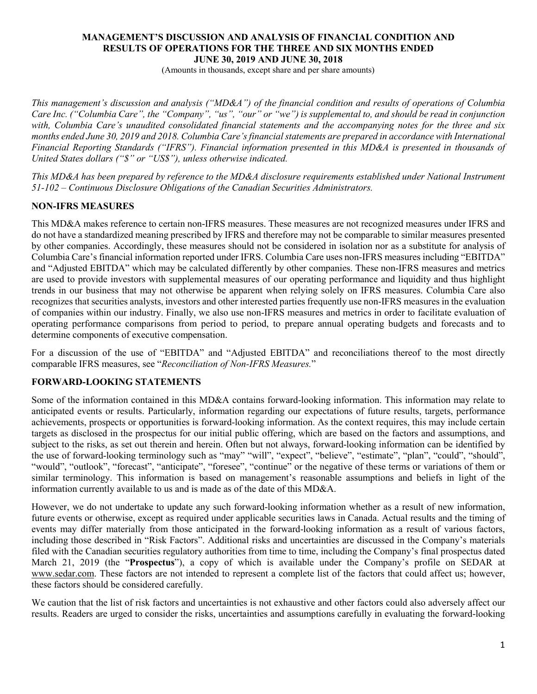### **MANAGEMENT'S DISCUSSION AND ANALYSIS OF FINANCIAL CONDITION AND RESULTS OF OPERATIONS FOR THE THREE AND SIX MONTHS ENDED JUNE 30, 2019 AND JUNE 30, 2018**

(Amounts in thousands, except share and per share amounts)

*This management's discussion and analysis ("MD&A") of the financial condition and results of operations of Columbia Care Inc. ("Columbia Care", the "Company", "us", "our" or "we") is supplemental to, and should be read in conjunction with, Columbia Care's unaudited consolidated financial statements and the accompanying notes for the three and six months ended June 30, 2019 and 2018. Columbia Care's financial statements are prepared in accordance with International Financial Reporting Standards ("IFRS"). Financial information presented in this MD&A is presented in thousands of United States dollars ("\$" or "US\$"), unless otherwise indicated.*

*This MD&A has been prepared by reference to the MD&A disclosure requirements established under National Instrument 51-102 – Continuous Disclosure Obligations of the Canadian Securities Administrators.*

### **NON-IFRS MEASURES**

This MD&A makes reference to certain non-IFRS measures. These measures are not recognized measures under IFRS and do not have a standardized meaning prescribed by IFRS and therefore may not be comparable to similar measures presented by other companies. Accordingly, these measures should not be considered in isolation nor as a substitute for analysis of Columbia Care's financial information reported under IFRS. Columbia Care uses non-IFRS measures including "EBITDA" and "Adjusted EBITDA" which may be calculated differently by other companies. These non-IFRS measures and metrics are used to provide investors with supplemental measures of our operating performance and liquidity and thus highlight trends in our business that may not otherwise be apparent when relying solely on IFRS measures. Columbia Care also recognizes that securities analysts, investors and other interested parties frequently use non-IFRS measures in the evaluation of companies within our industry. Finally, we also use non-IFRS measures and metrics in order to facilitate evaluation of operating performance comparisons from period to period, to prepare annual operating budgets and forecasts and to determine components of executive compensation.

For a discussion of the use of "EBITDA" and "Adjusted EBITDA" and reconciliations thereof to the most directly comparable IFRS measures, see "*Reconciliation of Non-IFRS Measures.*"

### **FORWARD-LOOKING STATEMENTS**

Some of the information contained in this MD&A contains forward-looking information. This information may relate to anticipated events or results. Particularly, information regarding our expectations of future results, targets, performance achievements, prospects or opportunities is forward-looking information. As the context requires, this may include certain targets as disclosed in the prospectus for our initial public offering, which are based on the factors and assumptions, and subject to the risks, as set out therein and herein. Often but not always, forward-looking information can be identified by the use of forward-looking terminology such as "may" "will", "expect", "believe", "estimate", "plan", "could", "should", "would", "outlook", "forecast", "anticipate", "foresee", "continue" or the negative of these terms or variations of them or similar terminology. This information is based on management's reasonable assumptions and beliefs in light of the information currently available to us and is made as of the date of this MD&A.

However, we do not undertake to update any such forward-looking information whether as a result of new information, future events or otherwise, except as required under applicable securities laws in Canada. Actual results and the timing of events may differ materially from those anticipated in the forward-looking information as a result of various factors, including those described in "Risk Factors". Additional risks and uncertainties are discussed in the Company's materials filed with the Canadian securities regulatory authorities from time to time, including the Company's final prospectus dated March 21, 2019 (the "**Prospectus**"), a copy of which is available under the Company's profile on SEDAR at www.sedar.com. These factors are not intended to represent a complete list of the factors that could affect us; however, these factors should be considered carefully.

We caution that the list of risk factors and uncertainties is not exhaustive and other factors could also adversely affect our results. Readers are urged to consider the risks, uncertainties and assumptions carefully in evaluating the forward-looking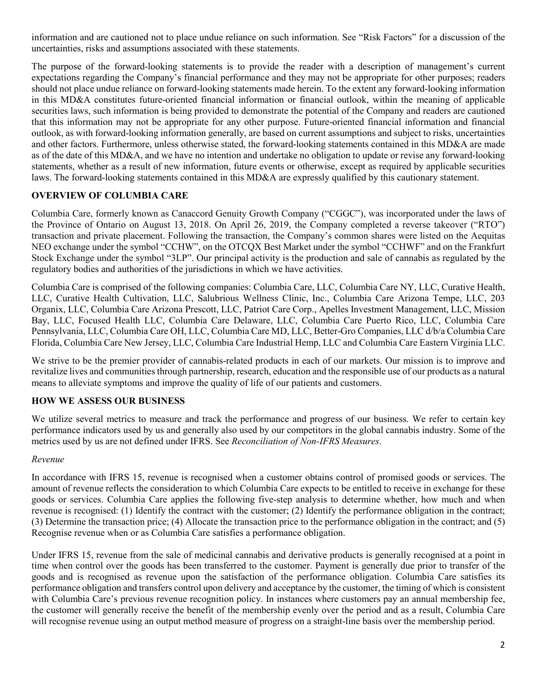information and are cautioned not to place undue reliance on such information. See "Risk Factors" for a discussion of the uncertainties, risks and assumptions associated with these statements.

The purpose of the forward-looking statements is to provide the reader with a description of management's current expectations regarding the Company's financial performance and they may not be appropriate for other purposes; readers should not place undue reliance on forward-looking statements made herein. To the extent any forward-looking information in this MD&A constitutes future-oriented financial information or financial outlook, within the meaning of applicable securities laws, such information is being provided to demonstrate the potential of the Company and readers are cautioned that this information may not be appropriate for any other purpose. Future-oriented financial information and financial outlook, as with forward-looking information generally, are based on current assumptions and subject to risks, uncertainties and other factors. Furthermore, unless otherwise stated, the forward-looking statements contained in this MD&A are made as of the date of this MD&A, and we have no intention and undertake no obligation to update or revise any forward-looking statements, whether as a result of new information, future events or otherwise, except as required by applicable securities laws. The forward-looking statements contained in this MD&A are expressly qualified by this cautionary statement.

# **OVERVIEW OF COLUMBIA CARE**

Columbia Care, formerly known as Canaccord Genuity Growth Company ("CGGC"), was incorporated under the laws of the Province of Ontario on August 13, 2018. On April 26, 2019, the Company completed a reverse takeover ("RTO") transaction and private placement. Following the transaction, the Company's common shares were listed on the Aequitas NEO exchange under the symbol "CCHW", on the OTCQX Best Market under the symbol "CCHWF" and on the Frankfurt Stock Exchange under the symbol "3LP". Our principal activity is the production and sale of cannabis as regulated by the regulatory bodies and authorities of the jurisdictions in which we have activities.

Columbia Care is comprised of the following companies: Columbia Care, LLC, Columbia Care NY, LLC, Curative Health, LLC, Curative Health Cultivation, LLC, Salubrious Wellness Clinic, Inc., Columbia Care Arizona Tempe, LLC, 203 Organix, LLC, Columbia Care Arizona Prescott, LLC, Patriot Care Corp., Apelles Investment Management, LLC, Mission Bay, LLC, Focused Health LLC, Columbia Care Delaware, LLC, Columbia Care Puerto Rico, LLC, Columbia Care Pennsylvania, LLC, Columbia Care OH, LLC, Columbia Care MD, LLC, Better-Gro Companies, LLC d/b/a Columbia Care Florida, Columbia Care New Jersey, LLC, Columbia Care Industrial Hemp, LLC and Columbia Care Eastern Virginia LLC.

We strive to be the premier provider of cannabis-related products in each of our markets. Our mission is to improve and revitalize lives and communities through partnership, research, education and the responsible use of our products as a natural means to alleviate symptoms and improve the quality of life of our patients and customers.

# **HOW WE ASSESS OUR BUSINESS**

We utilize several metrics to measure and track the performance and progress of our business. We refer to certain key performance indicators used by us and generally also used by our competitors in the global cannabis industry. Some of the metrics used by us are not defined under IFRS. See *Reconciliation of Non-IFRS Measures*.

### *Revenue*

In accordance with IFRS 15, revenue is recognised when a customer obtains control of promised goods or services. The amount of revenue reflects the consideration to which Columbia Care expects to be entitled to receive in exchange for these goods or services. Columbia Care applies the following five-step analysis to determine whether, how much and when revenue is recognised: (1) Identify the contract with the customer; (2) Identify the performance obligation in the contract; (3) Determine the transaction price; (4) Allocate the transaction price to the performance obligation in the contract; and (5) Recognise revenue when or as Columbia Care satisfies a performance obligation.

Under IFRS 15, revenue from the sale of medicinal cannabis and derivative products is generally recognised at a point in time when control over the goods has been transferred to the customer. Payment is generally due prior to transfer of the goods and is recognised as revenue upon the satisfaction of the performance obligation. Columbia Care satisfies its performance obligation and transfers control upon delivery and acceptance by the customer, the timing of which is consistent with Columbia Care's previous revenue recognition policy. In instances where customers pay an annual membership fee, the customer will generally receive the benefit of the membership evenly over the period and as a result, Columbia Care will recognise revenue using an output method measure of progress on a straight-line basis over the membership period.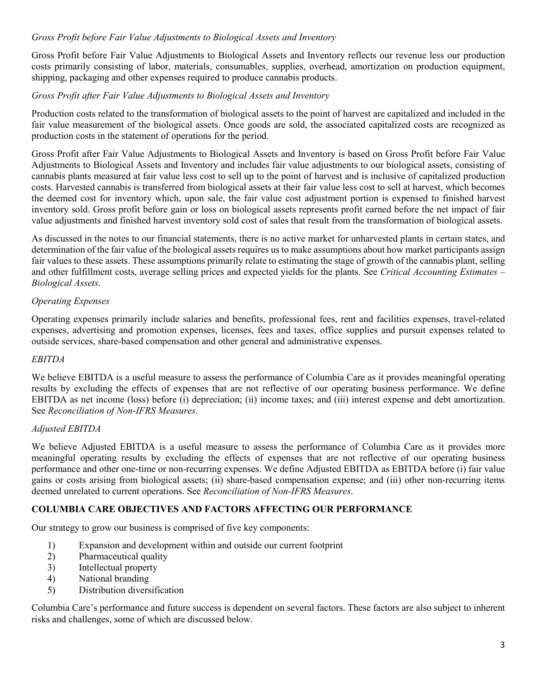## *Gross Profit before Fair Value Adjustments to Biological Assets and Inventory*

Gross Profit before Fair Value Adjustments to Biological Assets and Inventory reflects our revenue less our production costs primarily consisting of labor, materials, consumables, supplies, overhead, amortization on production equipment, shipping, packaging and other expenses required to produce cannabis products.

### *Gross Profit after Fair Value Adjustments to Biological Assets and Inventory*

Production costs related to the transformation of biological assets to the point of harvest are capitalized and included in the fair value measurement of the biological assets. Once goods are sold, the associated capitalized costs are recognized as production costs in the statement of operations for the period.

Gross Profit after Fair Value Adjustments to Biological Assets and Inventory is based on Gross Profit before Fair Value Adjustments to Biological Assets and Inventory and includes fair value adjustments to our biological assets, consisting of cannabis plants measured at fair value less cost to sell up to the point of harvest and is inclusive of capitalized production costs. Harvested cannabis is transferred from biological assets at their fair value less cost to sell at harvest, which becomes the deemed cost for inventory which, upon sale, the fair value cost adjustment portion is expensed to finished harvest inventory sold. Gross profit before gain or loss on biological assets represents profit earned before the net impact of fair value adjustments and finished harvest inventory sold cost of sales that result from the transformation of biological assets.

As discussed in the notes to our financial statements, there is no active market for unharvested plants in certain states, and determination of the fair value of the biological assets requires us to make assumptions about how market participants assign fair values to these assets. These assumptions primarily relate to estimating the stage of growth of the cannabis plant, selling and other fulfillment costs, average selling prices and expected yields for the plants. See *Critical Accounting Estimates – Biological Assets*.

# *Operating Expenses*

Operating expenses primarily include salaries and benefits, professional fees, rent and facilities expenses, travel-related expenses, advertising and promotion expenses, licenses, fees and taxes, office supplies and pursuit expenses related to outside services, share-based compensation and other general and administrative expenses.

### *EBITDA*

We believe EBITDA is a useful measure to assess the performance of Columbia Care as it provides meaningful operating results by excluding the effects of expenses that are not reflective of our operating business performance. We define EBITDA as net income (loss) before (i) depreciation; (ii) income taxes; and (iii) interest expense and debt amortization. See *Reconciliation of Non-IFRS Measures*.

# *Adjusted EBITDA*

We believe Adjusted EBITDA is a useful measure to assess the performance of Columbia Care as it provides more meaningful operating results by excluding the effects of expenses that are not reflective of our operating business performance and other one-time or non-recurring expenses. We define Adjusted EBITDA as EBITDA before (i) fair value gains or costs arising from biological assets; (ii) share-based compensation expense; and (iii) other non-recurring items deemed unrelated to current operations. See *Reconciliation of Non-IFRS Measures*.

### **COLUMBIA CARE OBJECTIVES AND FACTORS AFFECTING OUR PERFORMANCE**

Our strategy to grow our business is comprised of five key components:

- 1) Expansion and development within and outside our current footprint
- 2) Pharmaceutical quality
- 3) Intellectual property
- 4) National branding
- 5) Distribution diversification

Columbia Care's performance and future success is dependent on several factors. These factors are also subject to inherent risks and challenges, some of which are discussed below.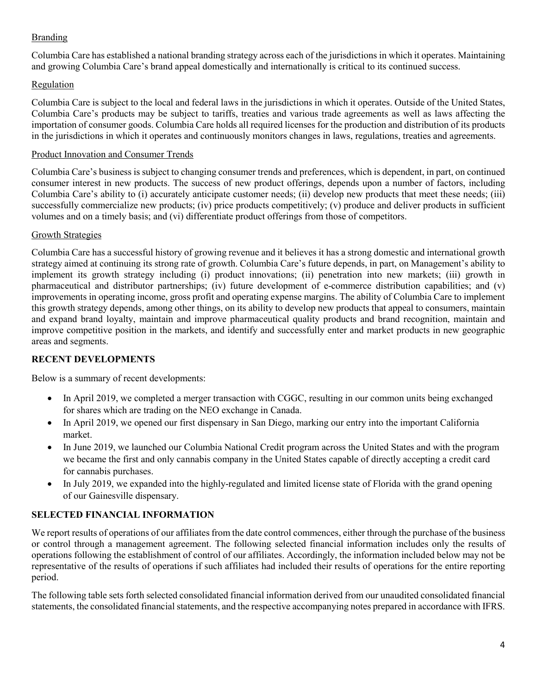# Branding

Columbia Care has established a national branding strategy across each of the jurisdictions in which it operates. Maintaining and growing Columbia Care's brand appeal domestically and internationally is critical to its continued success.

# Regulation

Columbia Care is subject to the local and federal laws in the jurisdictions in which it operates. Outside of the United States, Columbia Care's products may be subject to tariffs, treaties and various trade agreements as well as laws affecting the importation of consumer goods. Columbia Care holds all required licenses for the production and distribution of its products in the jurisdictions in which it operates and continuously monitors changes in laws, regulations, treaties and agreements.

## Product Innovation and Consumer Trends

Columbia Care's business is subject to changing consumer trends and preferences, which is dependent, in part, on continued consumer interest in new products. The success of new product offerings, depends upon a number of factors, including Columbia Care's ability to (i) accurately anticipate customer needs; (ii) develop new products that meet these needs; (iii) successfully commercialize new products; (iv) price products competitively; (v) produce and deliver products in sufficient volumes and on a timely basis; and (vi) differentiate product offerings from those of competitors.

### Growth Strategies

Columbia Care has a successful history of growing revenue and it believes it has a strong domestic and international growth strategy aimed at continuing its strong rate of growth. Columbia Care's future depends, in part, on Management's ability to implement its growth strategy including (i) product innovations; (ii) penetration into new markets; (iii) growth in pharmaceutical and distributor partnerships; (iv) future development of e-commerce distribution capabilities; and (v) improvements in operating income, gross profit and operating expense margins. The ability of Columbia Care to implement this growth strategy depends, among other things, on its ability to develop new products that appeal to consumers, maintain and expand brand loyalty, maintain and improve pharmaceutical quality products and brand recognition, maintain and improve competitive position in the markets, and identify and successfully enter and market products in new geographic areas and segments.

# **RECENT DEVELOPMENTS**

Below is a summary of recent developments:

- In April 2019, we completed a merger transaction with CGGC, resulting in our common units being exchanged for shares which are trading on the NEO exchange in Canada.
- In April 2019, we opened our first dispensary in San Diego, marking our entry into the important California market.
- In June 2019, we launched our Columbia National Credit program across the United States and with the program we became the first and only cannabis company in the United States capable of directly accepting a credit card for cannabis purchases.
- In July 2019, we expanded into the highly-regulated and limited license state of Florida with the grand opening of our Gainesville dispensary.

# **SELECTED FINANCIAL INFORMATION**

We report results of operations of our affiliates from the date control commences, either through the purchase of the business or control through a management agreement. The following selected financial information includes only the results of operations following the establishment of control of our affiliates. Accordingly, the information included below may not be representative of the results of operations if such affiliates had included their results of operations for the entire reporting period.

The following table sets forth selected consolidated financial information derived from our unaudited consolidated financial statements, the consolidated financial statements, and the respective accompanying notes prepared in accordance with IFRS.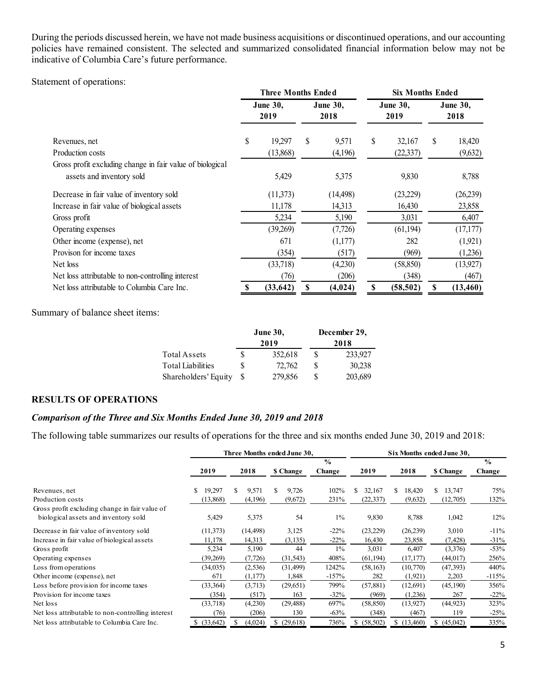During the periods discussed herein, we have not made business acquisitions or discontinued operations, and our accounting policies have remained consistent. The selected and summarized consolidated financial information below may not be indicative of Columbia Care's future performance.

Statement of operations:

|                                                           | <b>Three Months Ended</b> |                         |    | <b>Six Months Ended</b> |    |                         |    |                         |
|-----------------------------------------------------------|---------------------------|-------------------------|----|-------------------------|----|-------------------------|----|-------------------------|
|                                                           |                           | <b>June 30,</b><br>2019 |    | <b>June 30,</b><br>2018 |    | <b>June 30,</b><br>2019 |    | <b>June 30,</b><br>2018 |
| Revenues, net                                             | \$                        | 19,297                  | \$ | 9,571                   | \$ | 32,167                  | \$ | 18,420                  |
| Production costs                                          |                           | (13,868)                |    | (4,196)                 |    | (22, 337)               |    | (9,632)                 |
| Gross profit excluding change in fair value of biological |                           |                         |    |                         |    |                         |    |                         |
| assets and inventory sold                                 |                           | 5,429                   |    | 5,375                   |    | 9,830                   |    | 8,788                   |
| Decrease in fair value of inventory sold                  |                           | (11, 373)               |    | (14, 498)               |    | (23,229)                |    | (26, 239)               |
| Increase in fair value of biological assets               |                           | 11,178                  |    | 14,313                  |    | 16,430                  |    | 23,858                  |
| Gross profit                                              |                           | 5,234                   |    | 5,190                   |    | 3,031                   |    | 6,407                   |
| Operating expenses                                        |                           | (39,269)                |    | (7, 726)                |    | (61, 194)               |    | (17, 177)               |
| Other income (expense), net                               |                           | 671                     |    | (1,177)                 |    | 282                     |    | (1,921)                 |
| Provison for income taxes                                 |                           | (354)                   |    | (517)                   |    | (969)                   |    | (1,236)                 |
| Net loss                                                  |                           | (33,718)                |    | (4,230)                 |    | (58, 850)               |    | (13,927)                |
| Net loss attributable to non-controlling interest         |                           | (76)                    |    | (206)                   |    | (348)                   |    | (467)                   |
| Net loss attributable to Columbia Care Inc.               | \$                        | (33, 642)               | \$ | (4, 024)                | \$ | (58, 502)               | \$ | (13, 460)               |

Summary of balance sheet items:

|                          |   | <b>June 30,</b> | December 29, |         |  |  |  |
|--------------------------|---|-----------------|--------------|---------|--|--|--|
|                          |   | 2019            | 2018         |         |  |  |  |
| Total Assets             | S | 352,618         | S            | 233,927 |  |  |  |
| <b>Total Liabilities</b> | S | 72,762          | -S           | 30,238  |  |  |  |
| Shareholders' Equity     | S | 279,856         |              | 203,689 |  |  |  |

### **RESULTS OF OPERATIONS**

# *Comparison of the Three and Six Months Ended June 30, 2019 and 2018*

The following table summarizes our results of operations for the three and six months ended June 30, 2019 and 2018:

|                                                   |           |             | Three Months ended June 30, |         | Six Months ended June 30, |                |                |               |  |
|---------------------------------------------------|-----------|-------------|-----------------------------|---------|---------------------------|----------------|----------------|---------------|--|
|                                                   |           |             | $\frac{6}{6}$               |         |                           |                |                | $\frac{0}{0}$ |  |
|                                                   | 2019      | 2018        | \$ Change                   | Change  | 2019                      | 2018           | \$ Change      | Change        |  |
| Revenues, net                                     | 19,297    | 9,571<br>\$ | S<br>9,726                  | 102%    | \$<br>32,167              | S.<br>18,420   | S<br>13,747    | 75%           |  |
| Production costs                                  | (13,868)  | (4,196)     | (9,672)                     | 231%    | (22, 337)                 | (9,632)        | (12,705)       | 132%          |  |
| Gross profit excluding change in fair value of    |           |             |                             |         |                           |                |                |               |  |
| biological assets and inventory sold              | 5,429     | 5,375       | 54                          | $1\%$   | 9,830                     | 8,788          | 1,042          | 12%           |  |
| Decrease in fair value of inventory sold          | (11, 373) | (14, 498)   | 3,125                       | $-22\%$ | (23, 229)                 | (26,239)       | 3,010          | $-11%$        |  |
| Increase in fair value of biological assets       | 11,178    | 14,313      | (3,135)                     | $-22\%$ | 16,430                    | 23,858         | (7, 428)       | $-31%$        |  |
| Gross profit                                      | 5,234     | 5,190       | 44                          | $1\%$   | 3,031                     | 6,407          | (3,376)        | $-53%$        |  |
| Operating expenses                                | (39,269)  | (7, 726)    | (31, 543)                   | 408%    | (61, 194)                 | (17, 177)      | (44, 017)      | 256%          |  |
| Loss from operations                              | (34,035)  | (2, 536)    | (31, 499)                   | 1242%   | (58, 163)                 | (10,770)       | (47, 393)      | 440%          |  |
| Other income (expense), net                       | 671       | (1, 177)    | 1,848                       | $-157%$ | 282                       | (1,921)        | 2,203          | $-115%$       |  |
| Loss before provision for income taxes            | (33,364)  | (3,713)     | (29,651)                    | 799%    | (57, 881)                 | (12,691)       | (45,190)       | 356%          |  |
| Provision for income taxes                        | (354)     | (517)       | 163                         | $-32%$  | (969)                     | (1,236)        | 267            | $-22%$        |  |
| Net loss                                          | (33,718)  | (4,230)     | (29, 488)                   | 697%    | (58, 850)                 | (13,927)       | (44, 923)      | 323%          |  |
| Net loss attributable to non-controlling interest | (76)      | (206)       | 130                         | $-63%$  | (348)                     | (467)          | 119            | $-25%$        |  |
| Net loss attributable to Columbia Care Inc.       | (33, 642) | (4,024)     | (29,618)<br>S.              | 736%    | (58, 502)<br>ъ.           | (13,460)<br>S. | (45,042)<br>S. | 335%          |  |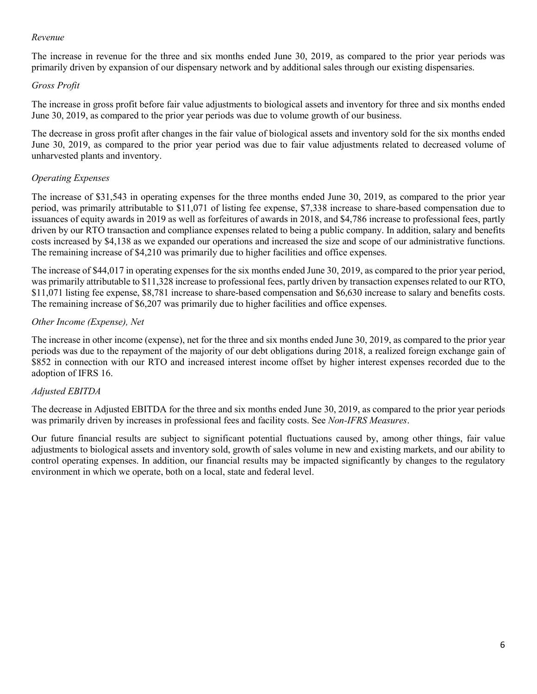### *Revenue*

The increase in revenue for the three and six months ended June 30, 2019, as compared to the prior year periods was primarily driven by expansion of our dispensary network and by additional sales through our existing dispensaries.

# *Gross Profit*

The increase in gross profit before fair value adjustments to biological assets and inventory for three and six months ended June 30, 2019, as compared to the prior year periods was due to volume growth of our business.

The decrease in gross profit after changes in the fair value of biological assets and inventory sold for the six months ended June 30, 2019, as compared to the prior year period was due to fair value adjustments related to decreased volume of unharvested plants and inventory.

# *Operating Expenses*

The increase of \$31,543 in operating expenses for the three months ended June 30, 2019, as compared to the prior year period, was primarily attributable to \$11,071 of listing fee expense, \$7,338 increase to share-based compensation due to issuances of equity awards in 2019 as well as forfeitures of awards in 2018, and \$4,786 increase to professional fees, partly driven by our RTO transaction and compliance expenses related to being a public company. In addition, salary and benefits costs increased by \$4,138 as we expanded our operations and increased the size and scope of our administrative functions. The remaining increase of \$4,210 was primarily due to higher facilities and office expenses.

The increase of \$44,017 in operating expenses for the six months ended June 30, 2019, as compared to the prior year period, was primarily attributable to \$11,328 increase to professional fees, partly driven by transaction expenses related to our RTO, \$11,071 listing fee expense, \$8,781 increase to share-based compensation and \$6,630 increase to salary and benefits costs. The remaining increase of \$6,207 was primarily due to higher facilities and office expenses.

# *Other Income (Expense), Net*

The increase in other income (expense), net for the three and six months ended June 30, 2019, as compared to the prior year periods was due to the repayment of the majority of our debt obligations during 2018, a realized foreign exchange gain of \$852 in connection with our RTO and increased interest income offset by higher interest expenses recorded due to the adoption of IFRS 16.

# *Adjusted EBITDA*

The decrease in Adjusted EBITDA for the three and six months ended June 30, 2019, as compared to the prior year periods was primarily driven by increases in professional fees and facility costs. See *Non-IFRS Measures*.

Our future financial results are subject to significant potential fluctuations caused by, among other things, fair value adjustments to biological assets and inventory sold, growth of sales volume in new and existing markets, and our ability to control operating expenses. In addition, our financial results may be impacted significantly by changes to the regulatory environment in which we operate, both on a local, state and federal level.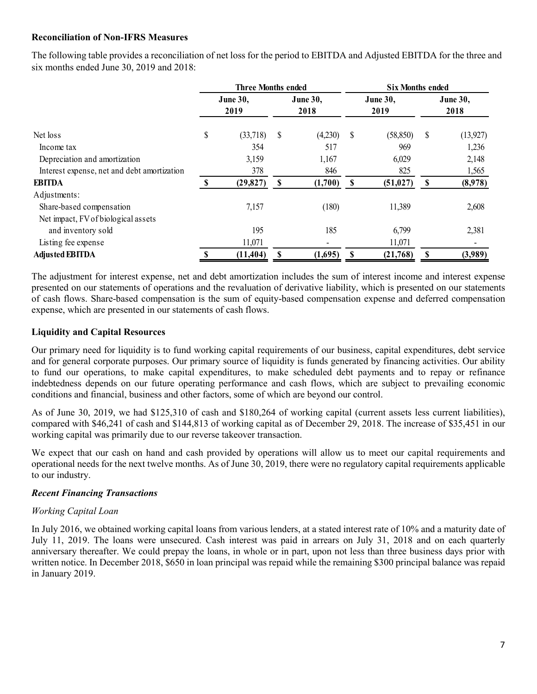### **Reconciliation of Non-IFRS Measures**

The following table provides a reconciliation of net loss for the period to EBITDA and Adjusted EBITDA for the three and six months ended June 30, 2019 and 2018:

|                                             | Three Months ended |           |          |          |      | <b>Six Months ended</b> |          |           |  |  |
|---------------------------------------------|--------------------|-----------|----------|----------|------|-------------------------|----------|-----------|--|--|
|                                             |                    | June 30,  |          | June 30, |      | <b>June 30,</b>         | June 30, |           |  |  |
|                                             |                    | 2019      |          | 2018     |      | 2019                    |          | 2018      |  |  |
| Net loss                                    | \$                 | (33,718)  | \$       | (4,230)  | -S   | (58, 850)               | \$       | (13, 927) |  |  |
| Income tax                                  |                    | 354       |          | 517      |      | 969                     |          | 1,236     |  |  |
| Depreciation and amortization               |                    | 3,159     |          | 1,167    |      | 6,029                   |          | 2,148     |  |  |
| Interest expense, net and debt amortization |                    | 378       |          | 846      |      | 825                     |          | 1,565     |  |  |
| <b>EBITDA</b>                               |                    | (29, 827) | <b>S</b> | (1,700)  | - \$ | (51, 027)               | -S       | (8,978)   |  |  |
| Adjustments:                                |                    |           |          |          |      |                         |          |           |  |  |
| Share-based compensation                    |                    | 7,157     |          | (180)    |      | 11,389                  |          | 2,608     |  |  |
| Net impact, FV of biological assets         |                    |           |          |          |      |                         |          |           |  |  |
| and inventory sold                          |                    | 195       |          | 185      |      | 6,799                   |          | 2,381     |  |  |
| Listing fee expense                         |                    | 11,071    |          | -        |      | 11,071                  |          |           |  |  |
| <b>Adjusted EBITDA</b>                      |                    | (11, 404) | S        | (1,695)  | S    | (21,768)                | S        | (3,989)   |  |  |

The adjustment for interest expense, net and debt amortization includes the sum of interest income and interest expense presented on our statements of operations and the revaluation of derivative liability, which is presented on our statements of cash flows. Share-based compensation is the sum of equity-based compensation expense and deferred compensation expense, which are presented in our statements of cash flows.

# **Liquidity and Capital Resources**

Our primary need for liquidity is to fund working capital requirements of our business, capital expenditures, debt service and for general corporate purposes. Our primary source of liquidity is funds generated by financing activities. Our ability to fund our operations, to make capital expenditures, to make scheduled debt payments and to repay or refinance indebtedness depends on our future operating performance and cash flows, which are subject to prevailing economic conditions and financial, business and other factors, some of which are beyond our control.

As of June 30, 2019, we had \$125,310 of cash and \$180,264 of working capital (current assets less current liabilities), compared with \$46,241 of cash and \$144,813 of working capital as of December 29, 2018. The increase of \$35,451 in our working capital was primarily due to our reverse takeover transaction.

We expect that our cash on hand and cash provided by operations will allow us to meet our capital requirements and operational needs for the next twelve months. As of June 30, 2019, there were no regulatory capital requirements applicable to our industry.

### *Recent Financing Transactions*

# *Working Capital Loan*

In July 2016, we obtained working capital loans from various lenders, at a stated interest rate of 10% and a maturity date of July 11, 2019. The loans were unsecured. Cash interest was paid in arrears on July 31, 2018 and on each quarterly anniversary thereafter. We could prepay the loans, in whole or in part, upon not less than three business days prior with written notice. In December 2018, \$650 in loan principal was repaid while the remaining \$300 principal balance was repaid in January 2019.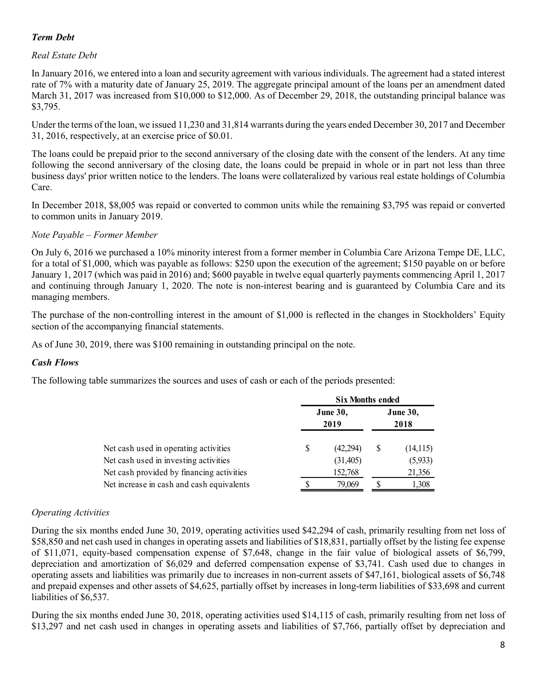## *Term Debt*

### *Real Estate Debt*

In January 2016, we entered into a loan and security agreement with various individuals. The agreement had a stated interest rate of 7% with a maturity date of January 25, 2019. The aggregate principal amount of the loans per an amendment dated March 31, 2017 was increased from \$10,000 to \$12,000. As of December 29, 2018, the outstanding principal balance was \$3,795.

Under the terms of the loan, we issued 11,230 and 31,814 warrants during the years ended December 30, 2017 and December 31, 2016, respectively, at an exercise price of \$0.01.

The loans could be prepaid prior to the second anniversary of the closing date with the consent of the lenders. At any time following the second anniversary of the closing date, the loans could be prepaid in whole or in part not less than three business days' prior written notice to the lenders. The loans were collateralized by various real estate holdings of Columbia Care.

In December 2018, \$8,005 was repaid or converted to common units while the remaining \$3,795 was repaid or converted to common units in January 2019.

### *Note Payable – Former Member*

On July 6, 2016 we purchased a 10% minority interest from a former member in Columbia Care Arizona Tempe DE, LLC, for a total of \$1,000, which was payable as follows: \$250 upon the execution of the agreement; \$150 payable on or before January 1, 2017 (which was paid in 2016) and; \$600 payable in twelve equal quarterly payments commencing April 1, 2017 and continuing through January 1, 2020. The note is non-interest bearing and is guaranteed by Columbia Care and its managing members.

The purchase of the non-controlling interest in the amount of \$1,000 is reflected in the changes in Stockholders' Equity section of the accompanying financial statements.

As of June 30, 2019, there was \$100 remaining in outstanding principal on the note.

### *Cash Flows*

The following table summarizes the sources and uses of cash or each of the periods presented:

|                                           | <b>Six Months ended</b> |                         |                         |           |  |  |  |  |
|-------------------------------------------|-------------------------|-------------------------|-------------------------|-----------|--|--|--|--|
|                                           |                         | <b>June 30,</b><br>2019 | <b>June 30,</b><br>2018 |           |  |  |  |  |
| Net cash used in operating activities     | S                       | (42, 294)               | S                       | (14, 115) |  |  |  |  |
| Net cash used in investing activities     |                         | (31,405)                |                         | (5,933)   |  |  |  |  |
| Net cash provided by financing activities |                         | 152,768                 |                         | 21,356    |  |  |  |  |
| Net increase in cash and cash equivalents |                         | 79,069                  |                         | 1,308     |  |  |  |  |

### *Operating Activities*

During the six months ended June 30, 2019, operating activities used \$42,294 of cash, primarily resulting from net loss of \$58,850 and net cash used in changes in operating assets and liabilities of \$18,831, partially offset by the listing fee expense of \$11,071, equity-based compensation expense of \$7,648, change in the fair value of biological assets of \$6,799, depreciation and amortization of \$6,029 and deferred compensation expense of \$3,741. Cash used due to changes in operating assets and liabilities was primarily due to increases in non-current assets of \$47,161, biological assets of \$6,748 and prepaid expenses and other assets of \$4,625, partially offset by increases in long-term liabilities of \$33,698 and current liabilities of \$6,537.

During the six months ended June 30, 2018, operating activities used \$14,115 of cash, primarily resulting from net loss of \$13,297 and net cash used in changes in operating assets and liabilities of \$7,766, partially offset by depreciation and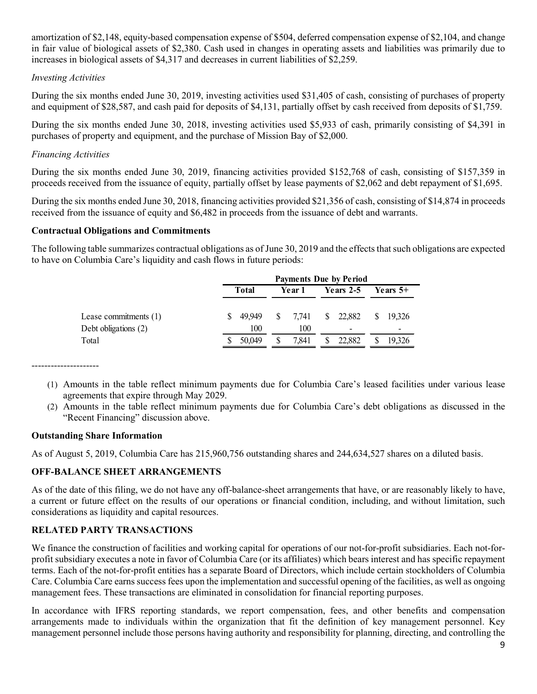amortization of \$2,148, equity-based compensation expense of \$504, deferred compensation expense of \$2,104, and change in fair value of biological assets of \$2,380. Cash used in changes in operating assets and liabilities was primarily due to increases in biological assets of \$4,317 and decreases in current liabilities of \$2,259.

### *Investing Activities*

During the six months ended June 30, 2019, investing activities used \$31,405 of cash, consisting of purchases of property and equipment of \$28,587, and cash paid for deposits of \$4,131, partially offset by cash received from deposits of \$1,759.

During the six months ended June 30, 2018, investing activities used \$5,933 of cash, primarily consisting of \$4,391 in purchases of property and equipment, and the purchase of Mission Bay of \$2,000.

### *Financing Activities*

During the six months ended June 30, 2019, financing activities provided \$152,768 of cash, consisting of \$157,359 in proceeds received from the issuance of equity, partially offset by lease payments of \$2,062 and debt repayment of \$1,695.

During the six months ended June 30, 2018, financing activities provided \$21,356 of cash, consisting of \$14,874 in proceeds received from the issuance of equity and \$6,482 in proceeds from the issuance of debt and warrants.

### **Contractual Obligations and Commitments**

The following table summarizes contractual obligations as of June 30, 2019 and the effects that such obligations are expected to have on Columbia Care's liquidity and cash flows in future periods:

|                                                 | <b>Payments Due by Period</b> |               |        |              |           |                                                |    |             |  |  |  |
|-------------------------------------------------|-------------------------------|---------------|--------|--------------|-----------|------------------------------------------------|----|-------------|--|--|--|
|                                                 | <b>Total</b>                  |               | Year 1 |              | Years 2-5 |                                                |    | Years $5+$  |  |  |  |
| Lease commitments $(1)$<br>Debt obligations (2) |                               | 49.949<br>100 | S.     | 7.741<br>100 |           | $\frac{1}{22,882}$<br>$\overline{\phantom{0}}$ | S. | 19.326<br>- |  |  |  |
| Total                                           |                               | 50,049        |        | 7.841        |           | 22,882                                         |    | 19.326      |  |  |  |

---------------------

- (1) Amounts in the table reflect minimum payments due for Columbia Care's leased facilities under various lease agreements that expire through May 2029.
- (2) Amounts in the table reflect minimum payments due for Columbia Care's debt obligations as discussed in the "Recent Financing" discussion above.

### **Outstanding Share Information**

As of August 5, 2019, Columbia Care has 215,960,756 outstanding shares and 244,634,527 shares on a diluted basis.

# **OFF-BALANCE SHEET ARRANGEMENTS**

As of the date of this filing, we do not have any off-balance-sheet arrangements that have, or are reasonably likely to have, a current or future effect on the results of our operations or financial condition, including, and without limitation, such considerations as liquidity and capital resources.

# **RELATED PARTY TRANSACTIONS**

We finance the construction of facilities and working capital for operations of our not-for-profit subsidiaries. Each not-forprofit subsidiary executes a note in favor of Columbia Care (or its affiliates) which bears interest and has specific repayment terms. Each of the not-for-profit entities has a separate Board of Directors, which include certain stockholders of Columbia Care. Columbia Care earns success fees upon the implementation and successful opening of the facilities, as well as ongoing management fees. These transactions are eliminated in consolidation for financial reporting purposes.

In accordance with IFRS reporting standards, we report compensation, fees, and other benefits and compensation arrangements made to individuals within the organization that fit the definition of key management personnel. Key management personnel include those persons having authority and responsibility for planning, directing, and controlling the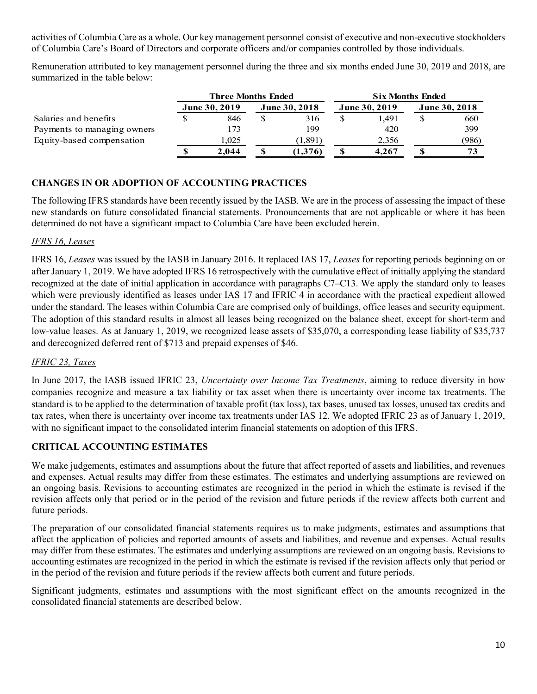activities of Columbia Care as a whole. Our key management personnel consist of executive and non-executive stockholders of Columbia Care's Board of Directors and corporate officers and/or companies controlled by those individuals.

Remuneration attributed to key management personnel during the three and six months ended June 30, 2019 and 2018, are summarized in the table below:

|                             |                                                                      | Three Months Ended |  |         | <b>Six Months Ended</b> |                      |  |       |  |
|-----------------------------|----------------------------------------------------------------------|--------------------|--|---------|-------------------------|----------------------|--|-------|--|
|                             | <b>June 30, 2019</b><br><b>June 30, 2018</b><br><b>June 30, 2019</b> |                    |  |         |                         | <b>June 30, 2018</b> |  |       |  |
| Salaries and benefits       |                                                                      | 846                |  | 316     |                         | 1.491                |  | 660   |  |
| Payments to managing owners |                                                                      | 173                |  | 199     |                         | 420                  |  | 399   |  |
| Equity-based compensation   |                                                                      | 1.025              |  | (1,891) |                         | 2,356                |  | (986) |  |
|                             |                                                                      | 2.044              |  | (1,376) |                         | 4.267                |  | 73    |  |

### **CHANGES IN OR ADOPTION OF ACCOUNTING PRACTICES**

The following IFRS standards have been recently issued by the IASB. We are in the process of assessing the impact of these new standards on future consolidated financial statements. Pronouncements that are not applicable or where it has been determined do not have a significant impact to Columbia Care have been excluded herein.

### *IFRS 16, Leases*

IFRS 16, *Leases* was issued by the IASB in January 2016. It replaced IAS 17, *Leases* for reporting periods beginning on or after January 1, 2019. We have adopted IFRS 16 retrospectively with the cumulative effect of initially applying the standard recognized at the date of initial application in accordance with paragraphs C7–C13. We apply the standard only to leases which were previously identified as leases under IAS 17 and IFRIC 4 in accordance with the practical expedient allowed under the standard. The leases within Columbia Care are comprised only of buildings, office leases and security equipment. The adoption of this standard results in almost all leases being recognized on the balance sheet, except for short-term and low-value leases. As at January 1, 2019, we recognized lease assets of \$35,070, a corresponding lease liability of \$35,737 and derecognized deferred rent of \$713 and prepaid expenses of \$46.

# *IFRIC 23, Taxes*

In June 2017, the IASB issued IFRIC 23, *Uncertainty over Income Tax Treatments*, aiming to reduce diversity in how companies recognize and measure a tax liability or tax asset when there is uncertainty over income tax treatments. The standard is to be applied to the determination of taxable profit (tax loss), tax bases, unused tax losses, unused tax credits and tax rates, when there is uncertainty over income tax treatments under IAS 12. We adopted IFRIC 23 as of January 1, 2019, with no significant impact to the consolidated interim financial statements on adoption of this IFRS.

### **CRITICAL ACCOUNTING ESTIMATES**

We make judgements, estimates and assumptions about the future that affect reported of assets and liabilities, and revenues and expenses. Actual results may differ from these estimates. The estimates and underlying assumptions are reviewed on an ongoing basis. Revisions to accounting estimates are recognized in the period in which the estimate is revised if the revision affects only that period or in the period of the revision and future periods if the review affects both current and future periods.

The preparation of our consolidated financial statements requires us to make judgments, estimates and assumptions that affect the application of policies and reported amounts of assets and liabilities, and revenue and expenses. Actual results may differ from these estimates. The estimates and underlying assumptions are reviewed on an ongoing basis. Revisions to accounting estimates are recognized in the period in which the estimate is revised if the revision affects only that period or in the period of the revision and future periods if the review affects both current and future periods.

Significant judgments, estimates and assumptions with the most significant effect on the amounts recognized in the consolidated financial statements are described below.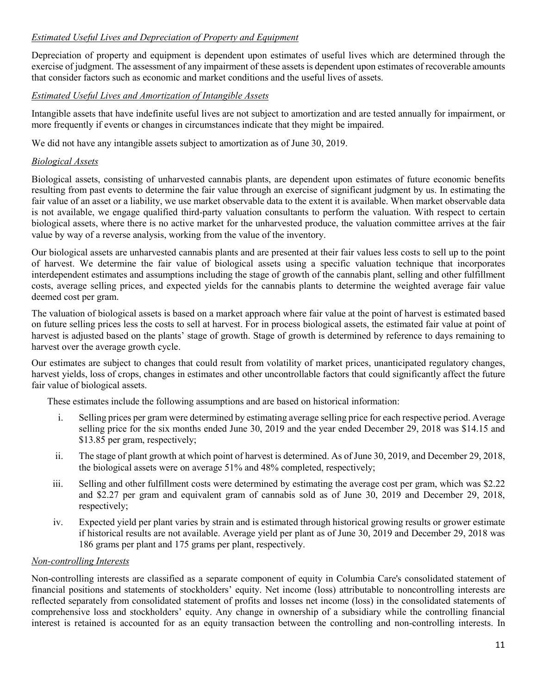# *Estimated Useful Lives and Depreciation of Property and Equipment*

Depreciation of property and equipment is dependent upon estimates of useful lives which are determined through the exercise of judgment. The assessment of any impairment of these assets is dependent upon estimates of recoverable amounts that consider factors such as economic and market conditions and the useful lives of assets.

# *Estimated Useful Lives and Amortization of Intangible Assets*

Intangible assets that have indefinite useful lives are not subject to amortization and are tested annually for impairment, or more frequently if events or changes in circumstances indicate that they might be impaired.

We did not have any intangible assets subject to amortization as of June 30, 2019.

### *Biological Assets*

Biological assets, consisting of unharvested cannabis plants, are dependent upon estimates of future economic benefits resulting from past events to determine the fair value through an exercise of significant judgment by us. In estimating the fair value of an asset or a liability, we use market observable data to the extent it is available. When market observable data is not available, we engage qualified third-party valuation consultants to perform the valuation. With respect to certain biological assets, where there is no active market for the unharvested produce, the valuation committee arrives at the fair value by way of a reverse analysis, working from the value of the inventory.

Our biological assets are unharvested cannabis plants and are presented at their fair values less costs to sell up to the point of harvest. We determine the fair value of biological assets using a specific valuation technique that incorporates interdependent estimates and assumptions including the stage of growth of the cannabis plant, selling and other fulfillment costs, average selling prices, and expected yields for the cannabis plants to determine the weighted average fair value deemed cost per gram.

The valuation of biological assets is based on a market approach where fair value at the point of harvest is estimated based on future selling prices less the costs to sell at harvest. For in process biological assets, the estimated fair value at point of harvest is adjusted based on the plants' stage of growth. Stage of growth is determined by reference to days remaining to harvest over the average growth cycle.

Our estimates are subject to changes that could result from volatility of market prices, unanticipated regulatory changes, harvest yields, loss of crops, changes in estimates and other uncontrollable factors that could significantly affect the future fair value of biological assets.

These estimates include the following assumptions and are based on historical information:

- i. Selling prices per gram were determined by estimating average selling price for each respective period. Average selling price for the six months ended June 30, 2019 and the year ended December 29, 2018 was \$14.15 and \$13.85 per gram, respectively;
- ii. The stage of plant growth at which point of harvest is determined. As of June 30, 2019, and December 29, 2018, the biological assets were on average 51% and 48% completed, respectively;
- iii. Selling and other fulfillment costs were determined by estimating the average cost per gram, which was \$2.22 and \$2.27 per gram and equivalent gram of cannabis sold as of June 30, 2019 and December 29, 2018, respectively;
- iv. Expected yield per plant varies by strain and is estimated through historical growing results or grower estimate if historical results are not available. Average yield per plant as of June 30, 2019 and December 29, 2018 was 186 grams per plant and 175 grams per plant, respectively.

# *Non-controlling Interests*

Non-controlling interests are classified as a separate component of equity in Columbia Care's consolidated statement of financial positions and statements of stockholders' equity. Net income (loss) attributable to noncontrolling interests are reflected separately from consolidated statement of profits and losses net income (loss) in the consolidated statements of comprehensive loss and stockholders' equity. Any change in ownership of a subsidiary while the controlling financial interest is retained is accounted for as an equity transaction between the controlling and non-controlling interests. In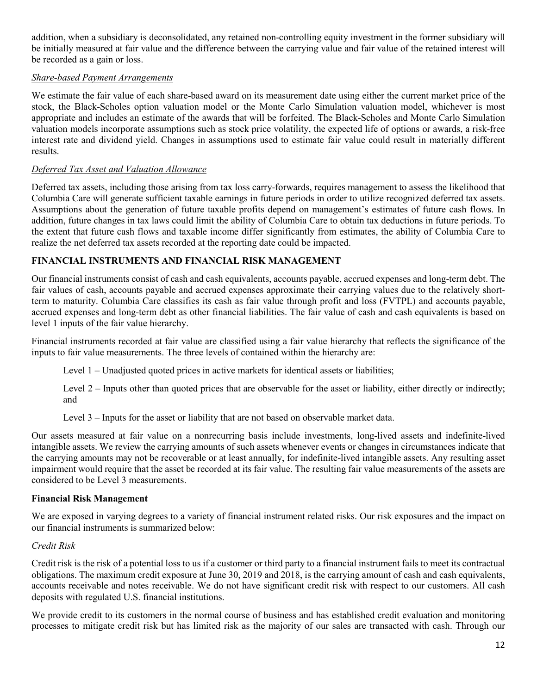addition, when a subsidiary is deconsolidated, any retained non-controlling equity investment in the former subsidiary will be initially measured at fair value and the difference between the carrying value and fair value of the retained interest will be recorded as a gain or loss.

### *Share-based Payment Arrangements*

We estimate the fair value of each share-based award on its measurement date using either the current market price of the stock, the Black-Scholes option valuation model or the Monte Carlo Simulation valuation model, whichever is most appropriate and includes an estimate of the awards that will be forfeited. The Black-Scholes and Monte Carlo Simulation valuation models incorporate assumptions such as stock price volatility, the expected life of options or awards, a risk-free interest rate and dividend yield. Changes in assumptions used to estimate fair value could result in materially different results.

# *Deferred Tax Asset and Valuation Allowance*

Deferred tax assets, including those arising from tax loss carry-forwards, requires management to assess the likelihood that Columbia Care will generate sufficient taxable earnings in future periods in order to utilize recognized deferred tax assets. Assumptions about the generation of future taxable profits depend on management's estimates of future cash flows. In addition, future changes in tax laws could limit the ability of Columbia Care to obtain tax deductions in future periods. To the extent that future cash flows and taxable income differ significantly from estimates, the ability of Columbia Care to realize the net deferred tax assets recorded at the reporting date could be impacted.

## **FINANCIAL INSTRUMENTS AND FINANCIAL RISK MANAGEMENT**

Our financial instruments consist of cash and cash equivalents, accounts payable, accrued expenses and long-term debt. The fair values of cash, accounts payable and accrued expenses approximate their carrying values due to the relatively shortterm to maturity. Columbia Care classifies its cash as fair value through profit and loss (FVTPL) and accounts payable, accrued expenses and long-term debt as other financial liabilities. The fair value of cash and cash equivalents is based on level 1 inputs of the fair value hierarchy.

Financial instruments recorded at fair value are classified using a fair value hierarchy that reflects the significance of the inputs to fair value measurements. The three levels of contained within the hierarchy are:

Level 1 – Unadjusted quoted prices in active markets for identical assets or liabilities;

Level 2 – Inputs other than quoted prices that are observable for the asset or liability, either directly or indirectly; and

Level 3 – Inputs for the asset or liability that are not based on observable market data.

Our assets measured at fair value on a nonrecurring basis include investments, long-lived assets and indefinite-lived intangible assets. We review the carrying amounts of such assets whenever events or changes in circumstances indicate that the carrying amounts may not be recoverable or at least annually, for indefinite-lived intangible assets. Any resulting asset impairment would require that the asset be recorded at its fair value. The resulting fair value measurements of the assets are considered to be Level 3 measurements.

### **Financial Risk Management**

We are exposed in varying degrees to a variety of financial instrument related risks. Our risk exposures and the impact on our financial instruments is summarized below:

### *Credit Risk*

Credit risk is the risk of a potential loss to us if a customer or third party to a financial instrument fails to meet its contractual obligations. The maximum credit exposure at June 30, 2019 and 2018, is the carrying amount of cash and cash equivalents, accounts receivable and notes receivable. We do not have significant credit risk with respect to our customers. All cash deposits with regulated U.S. financial institutions.

We provide credit to its customers in the normal course of business and has established credit evaluation and monitoring processes to mitigate credit risk but has limited risk as the majority of our sales are transacted with cash. Through our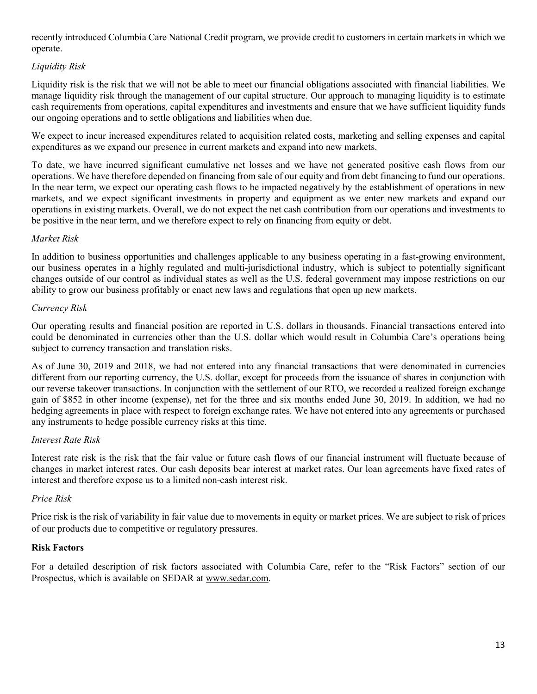recently introduced Columbia Care National Credit program, we provide credit to customers in certain markets in which we operate.

# *Liquidity Risk*

Liquidity risk is the risk that we will not be able to meet our financial obligations associated with financial liabilities. We manage liquidity risk through the management of our capital structure. Our approach to managing liquidity is to estimate cash requirements from operations, capital expenditures and investments and ensure that we have sufficient liquidity funds our ongoing operations and to settle obligations and liabilities when due.

We expect to incur increased expenditures related to acquisition related costs, marketing and selling expenses and capital expenditures as we expand our presence in current markets and expand into new markets.

To date, we have incurred significant cumulative net losses and we have not generated positive cash flows from our operations. We have therefore depended on financing from sale of our equity and from debt financing to fund our operations. In the near term, we expect our operating cash flows to be impacted negatively by the establishment of operations in new markets, and we expect significant investments in property and equipment as we enter new markets and expand our operations in existing markets. Overall, we do not expect the net cash contribution from our operations and investments to be positive in the near term, and we therefore expect to rely on financing from equity or debt.

### *Market Risk*

In addition to business opportunities and challenges applicable to any business operating in a fast-growing environment, our business operates in a highly regulated and multi-jurisdictional industry, which is subject to potentially significant changes outside of our control as individual states as well as the U.S. federal government may impose restrictions on our ability to grow our business profitably or enact new laws and regulations that open up new markets.

### *Currency Risk*

Our operating results and financial position are reported in U.S. dollars in thousands. Financial transactions entered into could be denominated in currencies other than the U.S. dollar which would result in Columbia Care's operations being subject to currency transaction and translation risks.

As of June 30, 2019 and 2018, we had not entered into any financial transactions that were denominated in currencies different from our reporting currency, the U.S. dollar, except for proceeds from the issuance of shares in conjunction with our reverse takeover transactions. In conjunction with the settlement of our RTO, we recorded a realized foreign exchange gain of \$852 in other income (expense), net for the three and six months ended June 30, 2019. In addition, we had no hedging agreements in place with respect to foreign exchange rates. We have not entered into any agreements or purchased any instruments to hedge possible currency risks at this time.

### *Interest Rate Risk*

Interest rate risk is the risk that the fair value or future cash flows of our financial instrument will fluctuate because of changes in market interest rates. Our cash deposits bear interest at market rates. Our loan agreements have fixed rates of interest and therefore expose us to a limited non-cash interest risk.

# *Price Risk*

Price risk is the risk of variability in fair value due to movements in equity or market prices. We are subject to risk of prices of our products due to competitive or regulatory pressures.

### **Risk Factors**

For a detailed description of risk factors associated with Columbia Care, refer to the "Risk Factors" section of our Prospectus, which is available on SEDAR at www.sedar.com.